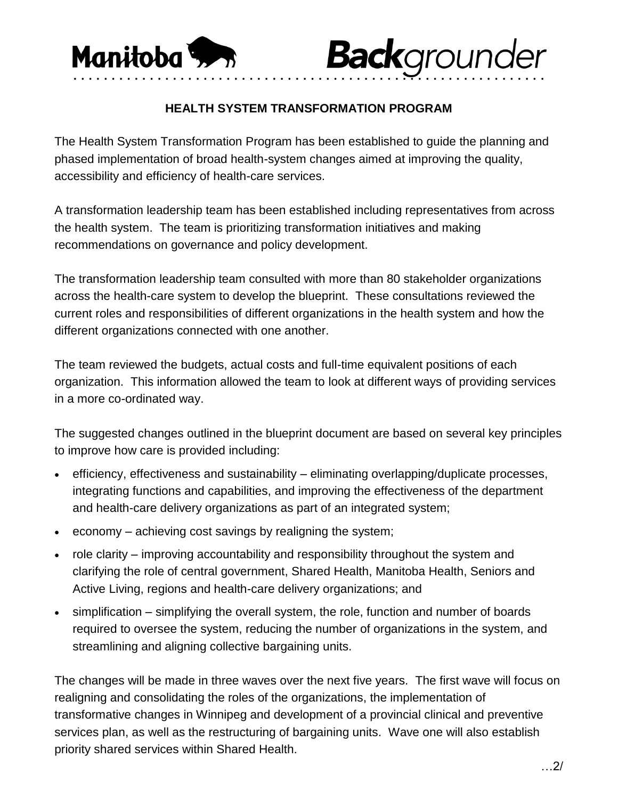

## **HEALTH SYSTEM TRANSFORMATION PROGRAM**

**Back**grounder

The Health System Transformation Program has been established to guide the planning and phased implementation of broad health-system changes aimed at improving the quality, accessibility and efficiency of health-care services.

A transformation leadership team has been established including representatives from across the health system. The team is prioritizing transformation initiatives and making recommendations on governance and policy development.

The transformation leadership team consulted with more than 80 stakeholder organizations across the health-care system to develop the blueprint. These consultations reviewed the current roles and responsibilities of different organizations in the health system and how the different organizations connected with one another.

The team reviewed the budgets, actual costs and full-time equivalent positions of each organization. This information allowed the team to look at different ways of providing services in a more co-ordinated way.

The suggested changes outlined in the blueprint document are based on several key principles to improve how care is provided including:

- efficiency, effectiveness and sustainability eliminating overlapping/duplicate processes, integrating functions and capabilities, and improving the effectiveness of the department and health-care delivery organizations as part of an integrated system;
- economy achieving cost savings by realigning the system;
- role clarity improving accountability and responsibility throughout the system and clarifying the role of central government, Shared Health, Manitoba Health, Seniors and Active Living, regions and health-care delivery organizations; and
- simplification simplifying the overall system, the role, function and number of boards required to oversee the system, reducing the number of organizations in the system, and streamlining and aligning collective bargaining units.

The changes will be made in three waves over the next five years. The first wave will focus on realigning and consolidating the roles of the organizations, the implementation of transformative changes in Winnipeg and development of a provincial clinical and preventive services plan, as well as the restructuring of bargaining units. Wave one will also establish priority shared services within Shared Health.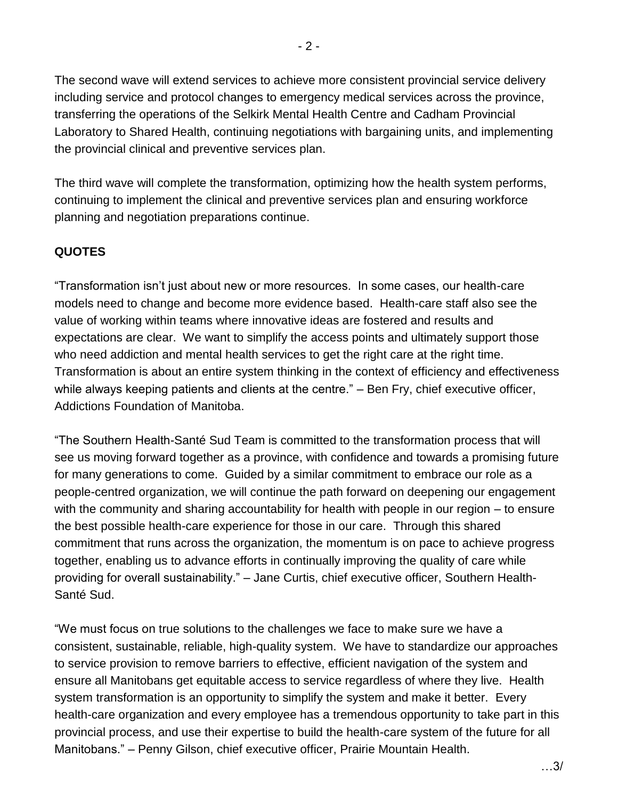The second wave will extend services to achieve more consistent provincial service delivery including service and protocol changes to emergency medical services across the province, transferring the operations of the Selkirk Mental Health Centre and Cadham Provincial Laboratory to Shared Health, continuing negotiations with bargaining units, and implementing the provincial clinical and preventive services plan.

The third wave will complete the transformation, optimizing how the health system performs, continuing to implement the clinical and preventive services plan and ensuring workforce planning and negotiation preparations continue.

## **QUOTES**

"Transformation isn't just about new or more resources. In some cases, our health-care models need to change and become more evidence based. Health-care staff also see the value of working within teams where innovative ideas are fostered and results and expectations are clear. We want to simplify the access points and ultimately support those who need addiction and mental health services to get the right care at the right time. Transformation is about an entire system thinking in the context of efficiency and effectiveness while always keeping patients and clients at the centre." – Ben Fry, chief executive officer, Addictions Foundation of Manitoba.

"The Southern Health-Santé Sud Team is committed to the transformation process that will see us moving forward together as a province, with confidence and towards a promising future for many generations to come. Guided by a similar commitment to embrace our role as a people-centred organization, we will continue the path forward on deepening our engagement with the community and sharing accountability for health with people in our region – to ensure the best possible health-care experience for those in our care. Through this shared commitment that runs across the organization, the momentum is on pace to achieve progress together, enabling us to advance efforts in continually improving the quality of care while providing for overall sustainability." – Jane Curtis, chief executive officer, Southern Health-Santé Sud.

"We must focus on true solutions to the challenges we face to make sure we have a consistent, sustainable, reliable, high-quality system. We have to standardize our approaches to service provision to remove barriers to effective, efficient navigation of the system and ensure all Manitobans get equitable access to service regardless of where they live. Health system transformation is an opportunity to simplify the system and make it better. Every health-care organization and every employee has a tremendous opportunity to take part in this provincial process, and use their expertise to build the health-care system of the future for all Manitobans." – Penny Gilson, chief executive officer, Prairie Mountain Health.